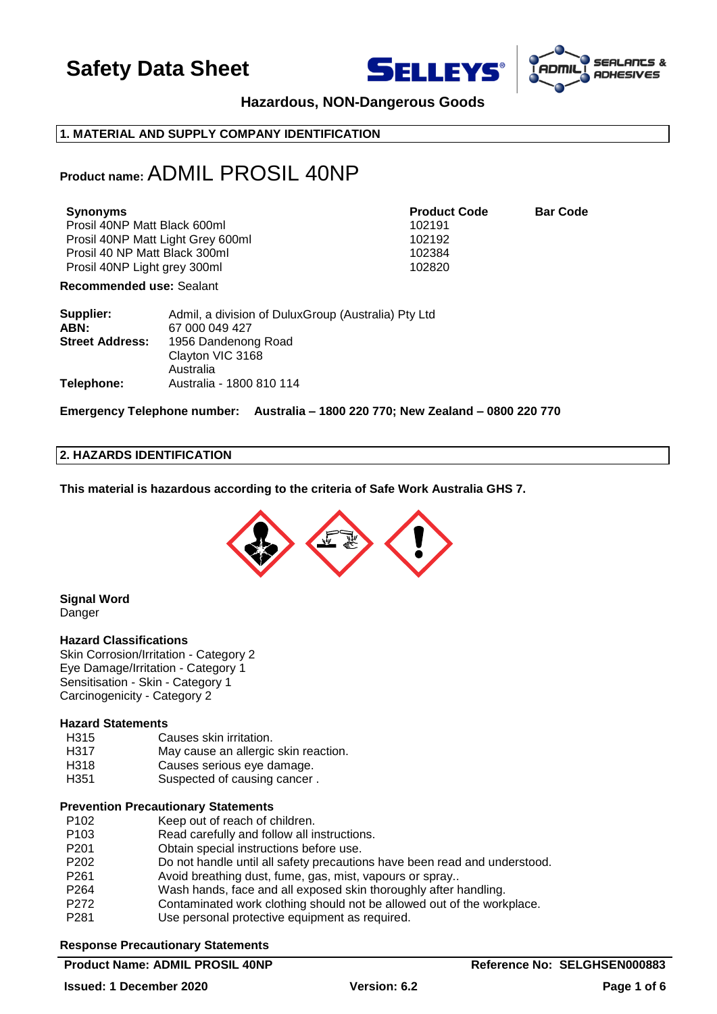





## **Hazardous, NON-Dangerous Goods**

## **1. MATERIAL AND SUPPLY COMPANY IDENTIFICATION**

## **Product name:**ADMIL PROSIL 40NP

| Synonyms                          | <b>Product Code</b> | <b>Bar Code</b> |
|-----------------------------------|---------------------|-----------------|
| Prosil 40NP Matt Black 600ml      | 102191              |                 |
| Prosil 40NP Matt Light Grey 600ml | 102192              |                 |
| Prosil 40 NP Matt Black 300ml     | 102384              |                 |
| Prosil 40NP Light grey 300ml      | 102820              |                 |

**Recommended use:** Sealant

| Supplier:              | Admil, a division of DuluxGroup (Australia) Pty Ltd |
|------------------------|-----------------------------------------------------|
| ABN:                   | 67 000 049 427                                      |
| <b>Street Address:</b> | 1956 Dandenong Road                                 |
|                        | Clayton VIC 3168                                    |
|                        | Australia                                           |
| Telephone:             | Australia - 1800 810 114                            |

## **Emergency Telephone number: Australia – 1800 220 770; New Zealand – 0800 220 770**

## **2. HAZARDS IDENTIFICATION**

**This material is hazardous according to the criteria of Safe Work Australia GHS 7.**



**Signal Word Danger** 

## **Hazard Classifications**

Skin Corrosion/Irritation - Category 2 Eye Damage/Irritation - Category 1 Sensitisation - Skin - Category 1 Carcinogenicity - Category 2

## **Hazard Statements**

- H315 Causes skin irritation.
- H317 May cause an allergic skin reaction.
- H318 Causes serious eye damage.
- H351 Suspected of causing cancer.

## **Prevention Precautionary Statements**

- P102 Keep out of reach of children.
- P103 Read carefully and follow all instructions.
- P201 Obtain special instructions before use.
- P202 Do not handle until all safety precautions have been read and understood.
- P261 Avoid breathing dust, fume, gas, mist, vapours or spray..
- P264 Wash hands, face and all exposed skin thoroughly after handling.
- P272 Contaminated work clothing should not be allowed out of the workplace.
- P281 Use personal protective equipment as required.

## **Response Precautionary Statements**

## **Product Name: ADMIL PROSIL 40NP Reference No: SELGHSEN000883**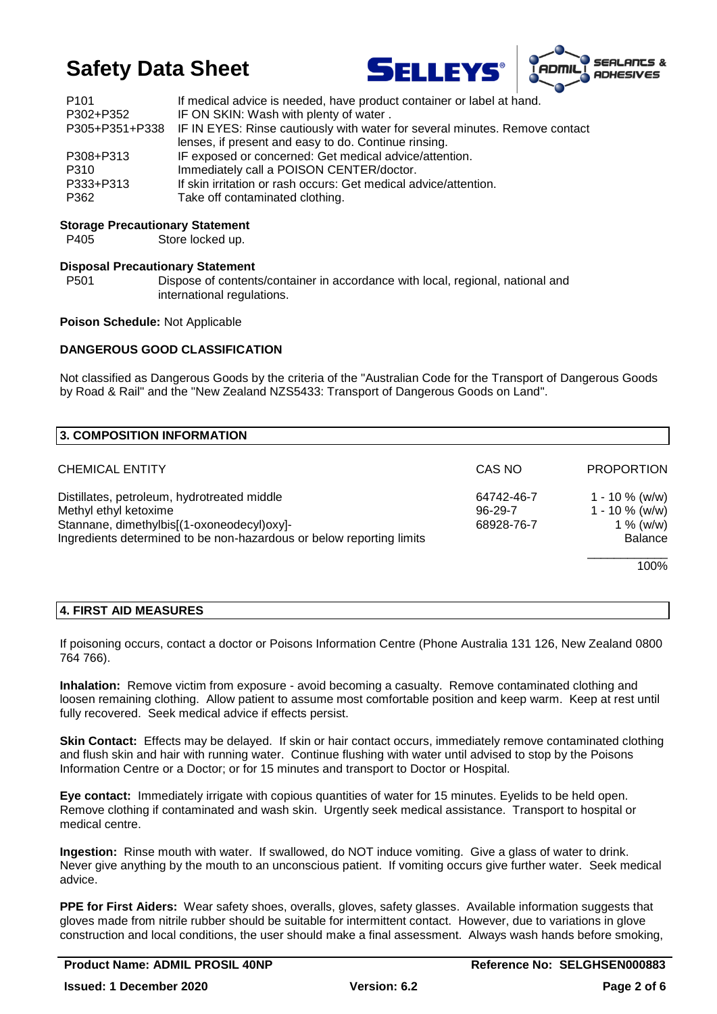



| P <sub>101</sub> | If medical advice is needed, have product container or label at hand.                      |
|------------------|--------------------------------------------------------------------------------------------|
| P302+P352        | IF ON SKIN: Wash with plenty of water.                                                     |
|                  | P305+P351+P338 IF IN EYES: Rinse cautiously with water for several minutes. Remove contact |
|                  | lenses, if present and easy to do. Continue rinsing.                                       |
| P308+P313        | IF exposed or concerned: Get medical advice/attention.                                     |
| P310             | Immediately call a POISON CENTER/doctor.                                                   |
| P333+P313        | If skin irritation or rash occurs: Get medical advice/attention.                           |
| P362             | Take off contaminated clothing.                                                            |

## **Storage Precautionary Statement**

P405 Store locked up.

## **Disposal Precautionary Statement**

P501 Dispose of contents/container in accordance with local, regional, national and international regulations.

#### **Poison Schedule:** Not Applicable

## **DANGEROUS GOOD CLASSIFICATION**

Not classified as Dangerous Goods by the criteria of the "Australian Code for the Transport of Dangerous Goods by Road & Rail" and the "New Zealand NZS5433: Transport of Dangerous Goods on Land".

| 3. COMPOSITION INFORMATION                                                                                                                                                                 |                                     |                                                                        |
|--------------------------------------------------------------------------------------------------------------------------------------------------------------------------------------------|-------------------------------------|------------------------------------------------------------------------|
| <b>CHEMICAL ENTITY</b>                                                                                                                                                                     | CAS NO                              | <b>PROPORTION</b>                                                      |
| Distillates, petroleum, hydrotreated middle<br>Methyl ethyl ketoxime<br>Stannane, dimethylbis[(1-oxoneodecyl)oxy]-<br>Ingredients determined to be non-hazardous or below reporting limits | 64742-46-7<br>96-29-7<br>68928-76-7 | 1 - 10 $%$ (w/w)<br>$1 - 10 \%$ (w/w)<br>$1\%$ (w/w)<br><b>Balance</b> |
|                                                                                                                                                                                            |                                     | 100%                                                                   |

## **4. FIRST AID MEASURES**

If poisoning occurs, contact a doctor or Poisons Information Centre (Phone Australia 131 126, New Zealand 0800 764 766).

**Inhalation:** Remove victim from exposure - avoid becoming a casualty. Remove contaminated clothing and loosen remaining clothing. Allow patient to assume most comfortable position and keep warm. Keep at rest until fully recovered. Seek medical advice if effects persist.

**Skin Contact:** Effects may be delayed. If skin or hair contact occurs, immediately remove contaminated clothing and flush skin and hair with running water. Continue flushing with water until advised to stop by the Poisons Information Centre or a Doctor; or for 15 minutes and transport to Doctor or Hospital.

**Eye contact:** Immediately irrigate with copious quantities of water for 15 minutes. Eyelids to be held open. Remove clothing if contaminated and wash skin. Urgently seek medical assistance. Transport to hospital or medical centre.

**Ingestion:** Rinse mouth with water. If swallowed, do NOT induce vomiting. Give a glass of water to drink. Never give anything by the mouth to an unconscious patient. If vomiting occurs give further water. Seek medical advice.

**PPE for First Aiders:** Wear safety shoes, overalls, gloves, safety glasses. Available information suggests that gloves made from nitrile rubber should be suitable for intermittent contact. However, due to variations in glove construction and local conditions, the user should make a final assessment. Always wash hands before smoking,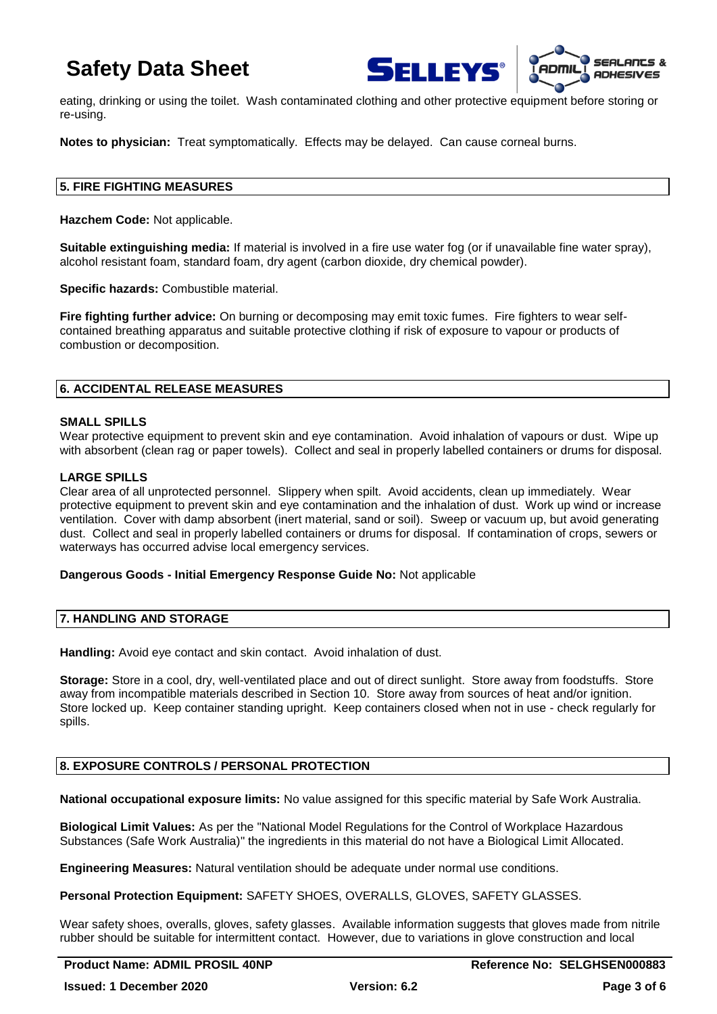



eating, drinking or using the toilet. Wash contaminated clothing and other protective equipment before storing or re-using.

**Notes to physician:** Treat symptomatically. Effects may be delayed. Can cause corneal burns.

## **5. FIRE FIGHTING MEASURES**

**Hazchem Code:** Not applicable.

**Suitable extinguishing media:** If material is involved in a fire use water fog (or if unavailable fine water spray), alcohol resistant foam, standard foam, dry agent (carbon dioxide, dry chemical powder).

**Specific hazards:** Combustible material.

**Fire fighting further advice:** On burning or decomposing may emit toxic fumes. Fire fighters to wear selfcontained breathing apparatus and suitable protective clothing if risk of exposure to vapour or products of combustion or decomposition.

## **6. ACCIDENTAL RELEASE MEASURES**

## **SMALL SPILLS**

Wear protective equipment to prevent skin and eye contamination. Avoid inhalation of vapours or dust. Wipe up with absorbent (clean rag or paper towels). Collect and seal in properly labelled containers or drums for disposal.

## **LARGE SPILLS**

Clear area of all unprotected personnel. Slippery when spilt. Avoid accidents, clean up immediately. Wear protective equipment to prevent skin and eye contamination and the inhalation of dust. Work up wind or increase ventilation. Cover with damp absorbent (inert material, sand or soil). Sweep or vacuum up, but avoid generating dust. Collect and seal in properly labelled containers or drums for disposal. If contamination of crops, sewers or waterways has occurred advise local emergency services.

## **Dangerous Goods - Initial Emergency Response Guide No:** Not applicable

## **7. HANDLING AND STORAGE**

Handling: Avoid eye contact and skin contact. Avoid inhalation of dust.

**Storage:** Store in a cool, dry, well-ventilated place and out of direct sunlight. Store away from foodstuffs. Store away from incompatible materials described in Section 10. Store away from sources of heat and/or ignition. Store locked up. Keep container standing upright. Keep containers closed when not in use - check regularly for spills.

## **8. EXPOSURE CONTROLS / PERSONAL PROTECTION**

**National occupational exposure limits:** No value assigned for this specific material by Safe Work Australia.

**Biological Limit Values:** As per the "National Model Regulations for the Control of Workplace Hazardous Substances (Safe Work Australia)" the ingredients in this material do not have a Biological Limit Allocated.

**Engineering Measures:** Natural ventilation should be adequate under normal use conditions.

**Personal Protection Equipment:** SAFETY SHOES, OVERALLS, GLOVES, SAFETY GLASSES.

Wear safety shoes, overalls, gloves, safety glasses. Available information suggests that gloves made from nitrile rubber should be suitable for intermittent contact. However, due to variations in glove construction and local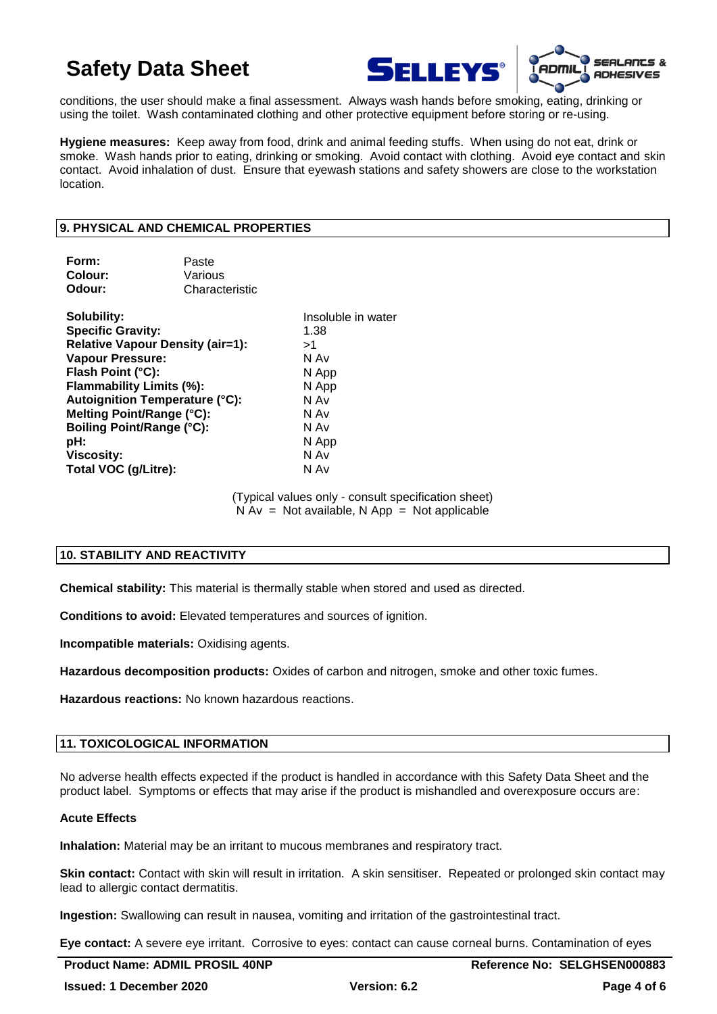



conditions, the user should make a final assessment. Always wash hands before smoking, eating, drinking or using the toilet. Wash contaminated clothing and other protective equipment before storing or re-using.

**Hygiene measures:** Keep away from food, drink and animal feeding stuffs. When using do not eat, drink or smoke. Wash hands prior to eating, drinking or smoking. Avoid contact with clothing. Avoid eye contact and skin contact. Avoid inhalation of dust. Ensure that eyewash stations and safety showers are close to the workstation location.

## **9. PHYSICAL AND CHEMICAL PROPERTIES**

| Characteristic                                                                                                                                                                           |
|------------------------------------------------------------------------------------------------------------------------------------------------------------------------------------------|
| Insoluble in water<br>1.38<br><b>Relative Vapour Density (air=1):</b><br>>1<br>N Av<br>N App<br>N App<br>Autoignition Temperature (°C):<br>N Av<br>N Av<br>N Av<br>N App<br>N Av<br>N Av |
| Paste<br>Various<br>Flammability Limits (%):<br>Melting Point/Range (°C):<br><b>Boiling Point/Range (°C):</b>                                                                            |

(Typical values only - consult specification sheet)  $N Av = Not available$ . N App = Not applicable

## **10. STABILITY AND REACTIVITY**

**Chemical stability:** This material is thermally stable when stored and used as directed.

**Conditions to avoid:** Elevated temperatures and sources of ignition.

**Incompatible materials:** Oxidising agents.

**Hazardous decomposition products:** Oxides of carbon and nitrogen, smoke and other toxic fumes.

**Hazardous reactions:** No known hazardous reactions.

## **11. TOXICOLOGICAL INFORMATION**

No adverse health effects expected if the product is handled in accordance with this Safety Data Sheet and the product label. Symptoms or effects that may arise if the product is mishandled and overexposure occurs are:

## **Acute Effects**

**Inhalation:** Material may be an irritant to mucous membranes and respiratory tract.

**Skin contact:** Contact with skin will result in irritation. A skin sensitiser. Repeated or prolonged skin contact may lead to allergic contact dermatitis.

**Ingestion:** Swallowing can result in nausea, vomiting and irritation of the gastrointestinal tract.

**Eye contact:** A severe eye irritant. Corrosive to eyes: contact can cause corneal burns. Contamination of eyes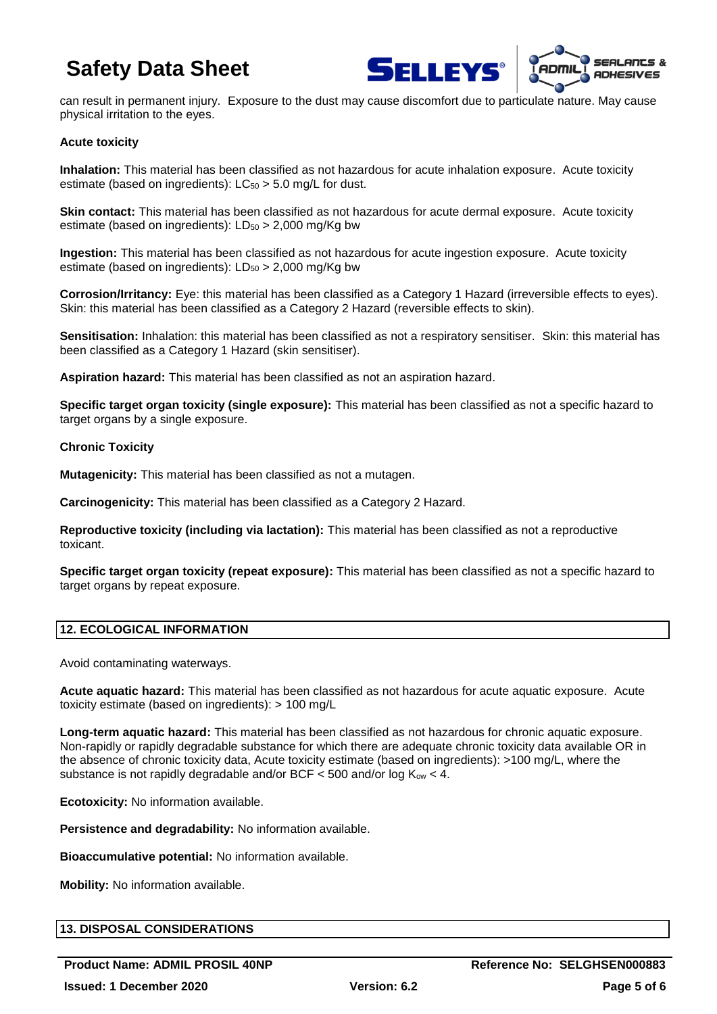



can result in permanent injury. Exposure to the dust may cause discomfort due to particulate nature. May cause physical irritation to the eyes.

## **Acute toxicity**

**Inhalation:** This material has been classified as not hazardous for acute inhalation exposure. Acute toxicity estimate (based on ingredients):  $LC_{50} > 5.0$  mg/L for dust.

**Skin contact:** This material has been classified as not hazardous for acute dermal exposure. Acute toxicity estimate (based on ingredients):  $LD_{50} > 2,000$  mg/Kg bw

**Ingestion:** This material has been classified as not hazardous for acute ingestion exposure. Acute toxicity estimate (based on ingredients):  $LD_{50} > 2,000$  mg/Kg bw

**Corrosion/Irritancy:** Eye: this material has been classified as a Category 1 Hazard (irreversible effects to eyes). Skin: this material has been classified as a Category 2 Hazard (reversible effects to skin).

**Sensitisation:** Inhalation: this material has been classified as not a respiratory sensitiser. Skin: this material has been classified as a Category 1 Hazard (skin sensitiser).

**Aspiration hazard:** This material has been classified as not an aspiration hazard.

**Specific target organ toxicity (single exposure):** This material has been classified as not a specific hazard to target organs by a single exposure.

## **Chronic Toxicity**

**Mutagenicity:** This material has been classified as not a mutagen.

**Carcinogenicity:** This material has been classified as a Category 2 Hazard.

**Reproductive toxicity (including via lactation):** This material has been classified as not a reproductive toxicant.

**Specific target organ toxicity (repeat exposure):** This material has been classified as not a specific hazard to target organs by repeat exposure.

## **12. ECOLOGICAL INFORMATION**

Avoid contaminating waterways.

**Acute aquatic hazard:** This material has been classified as not hazardous for acute aquatic exposure. Acute toxicity estimate (based on ingredients): > 100 mg/L

**Long-term aquatic hazard:** This material has been classified as not hazardous for chronic aquatic exposure. Non-rapidly or rapidly degradable substance for which there are adequate chronic toxicity data available OR in the absence of chronic toxicity data, Acute toxicity estimate (based on ingredients): >100 mg/L, where the substance is not rapidly degradable and/or BCF  $<$  500 and/or log  $K_{ow}$   $<$  4.

**Ecotoxicity:** No information available.

**Persistence and degradability:** No information available.

**Bioaccumulative potential:** No information available.

**Mobility:** No information available.

## **13. DISPOSAL CONSIDERATIONS**

**Product Name: ADMIL PROSIL 40NP Reference No: SELGHSEN000883 Issued: 1 December 2020 Version: 6.2 Page 5 of 6**